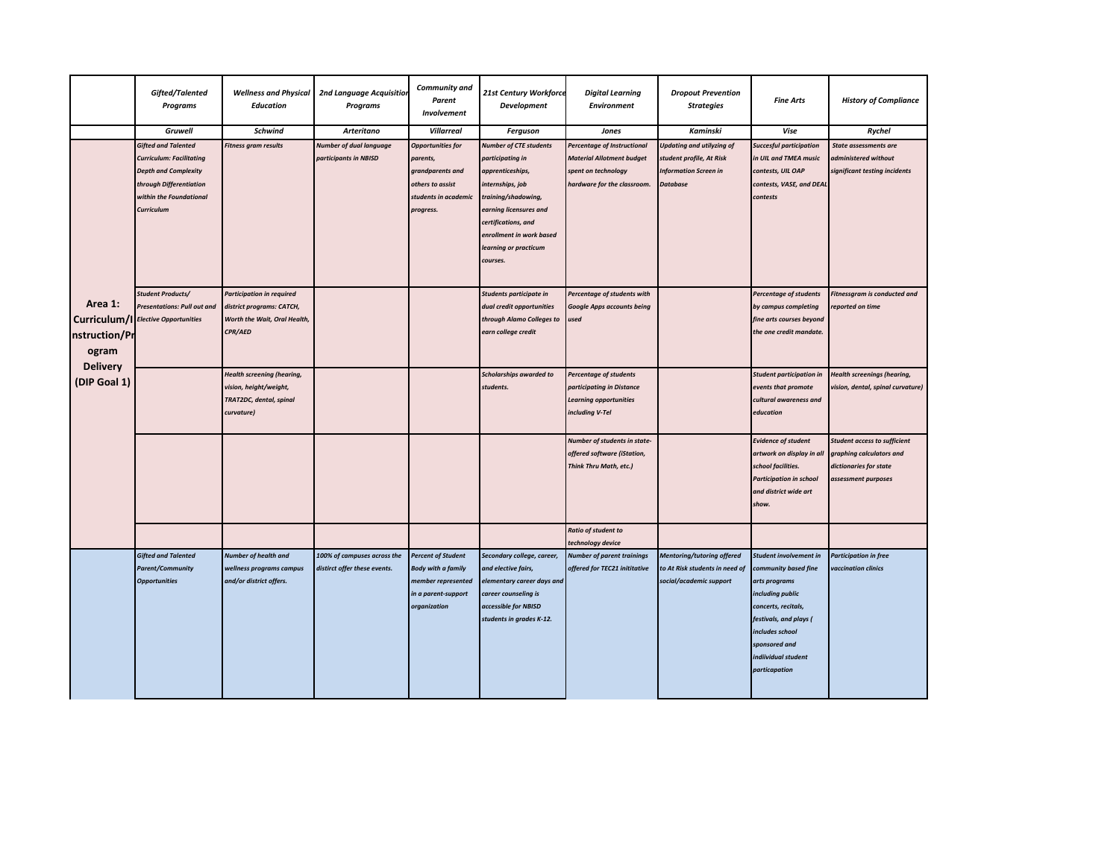|  |                                                                                      | Gifted/Talented<br><b>Programs</b>                                                                                                                               | <b>Wellness and Physical</b><br><b>Education</b>                                                         | <b>2nd Language Acquisition</b><br><b>Programs</b>          | Community and<br>Parent<br>Involvement                                                                              | 21st Century Workforce<br><b>Development</b>                                                                                                                      | <b>Digital Learning</b><br><b>Environment</b>                                                                         | <b>Dropout Prevention</b><br><b>Strategies</b>                                                           | <b>Fine Arts</b>                                                                                                                                                                                                        | <b>History of Compliance</b>                                                                                     |
|--|--------------------------------------------------------------------------------------|------------------------------------------------------------------------------------------------------------------------------------------------------------------|----------------------------------------------------------------------------------------------------------|-------------------------------------------------------------|---------------------------------------------------------------------------------------------------------------------|-------------------------------------------------------------------------------------------------------------------------------------------------------------------|-----------------------------------------------------------------------------------------------------------------------|----------------------------------------------------------------------------------------------------------|-------------------------------------------------------------------------------------------------------------------------------------------------------------------------------------------------------------------------|------------------------------------------------------------------------------------------------------------------|
|  |                                                                                      | <b>Gruwell</b>                                                                                                                                                   | <b>Schwind</b>                                                                                           | <b>Arteritano</b>                                           | <b>Villarreal</b>                                                                                                   | Ferguson                                                                                                                                                          | Jones                                                                                                                 | Kaminski                                                                                                 | Vise                                                                                                                                                                                                                    | Rychel                                                                                                           |
|  | Area 1:<br>Curriculum/I<br>nstruction/Pr<br>ogram<br><b>Delivery</b><br>(DIP Goal 1) | <b>Gifted and Talented</b><br><b>Curriculum: Facilitating</b><br><b>Depth and Complexity</b><br>through Differentiation<br>within the Foundational<br>Curriculum | <b>Fitness gram results</b>                                                                              | <b>Number of dual language</b><br>participants in NBISD     | <b>Opportunities for</b><br>parents,<br>grandparents and<br>others to assist<br>students in academic<br>progress.   | <b>Number of CTE students</b><br>participating in<br>apprenticeships,<br>internships, job<br>training/shadowing,<br>earning licensures and<br>certifications, and | Percentage of Instructional<br><b>Material Allotment budget</b><br>spent on technology<br>hardware for the classroom. | Updating and utilyzing of<br>student profile, At Risk<br><b>Information Screen in</b><br><b>Database</b> | <b>Succesful participation</b><br>in UIL and TMEA music<br>contests, UIL OAP<br>contests, VASE, and DEAL<br>contests                                                                                                    | <b>State assessments are</b><br>administered without<br>significant testing incidents                            |
|  |                                                                                      |                                                                                                                                                                  |                                                                                                          |                                                             |                                                                                                                     | enrollment in work based<br>learning or practicum<br>courses.                                                                                                     |                                                                                                                       |                                                                                                          |                                                                                                                                                                                                                         |                                                                                                                  |
|  |                                                                                      | <b>Student Products/</b><br><b>Presentations: Pull out and</b><br><b>Elective Opportunities</b>                                                                  | <b>Participation in required</b><br>district programs: CATCH,<br>Worth the Wait, Oral Health,<br>CPR/AED |                                                             |                                                                                                                     | Students participate in<br>dual credit opportunities<br>through Alamo Colleges to<br>earn college credit                                                          | Percentage of students with<br><b>Google Apps accounts being</b><br>used                                              |                                                                                                          | <b>Percentage of students</b><br>by campus completing<br>fine arts courses beyond<br>the one credit mandate.                                                                                                            | Fitnessgram is conducted and<br>reported on time                                                                 |
|  |                                                                                      |                                                                                                                                                                  | <b>Health screening (hearing,</b><br>vision, height/weight,<br>TRAT2DC, dental, spinal<br>curvature)     |                                                             |                                                                                                                     | Scholarships awarded to<br>students.                                                                                                                              | <b>Percentage of students</b><br>participating in Distance<br><b>Learning opportunities</b><br>including V-Tel        |                                                                                                          | <b>Student participation in</b><br>events that promote<br>cultural awareness and<br>education                                                                                                                           | <b>Health screenings (hearing,</b><br>vision, dental, spinal curvature)                                          |
|  |                                                                                      |                                                                                                                                                                  |                                                                                                          |                                                             |                                                                                                                     |                                                                                                                                                                   | Number of students in state-<br>offered software (iStation,<br>Think Thru Math, etc.)                                 |                                                                                                          | <b>Evidence of student</b><br>artwork on display in all<br>school facilities.<br><b>Participation in school</b><br>and district wide art<br>show.                                                                       | <b>Student access to sufficient</b><br>graphing calculators and<br>dictionaries for state<br>assessment purposes |
|  |                                                                                      |                                                                                                                                                                  |                                                                                                          |                                                             |                                                                                                                     |                                                                                                                                                                   | Ratio of student to<br>technology device                                                                              |                                                                                                          |                                                                                                                                                                                                                         |                                                                                                                  |
|  |                                                                                      | <b>Gifted and Talented</b><br><b>Parent/Community</b><br><b>Opportunities</b>                                                                                    | <b>Number of health and</b><br>wellness programs campus<br>and/or district offers.                       | 100% of campuses across the<br>distirct offer these events. | <b>Percent of Student</b><br><b>Body with a family</b><br>member represented<br>in a parent-support<br>organization | Secondary college, career,<br>and elective fairs,<br>elementary career days and<br>career counseling is<br>accessible for NBISD<br>students in grades K-12.       | <b>Number of parent trainings</b><br>offered for TEC21 inititative                                                    | <b>Mentoring/tutoring offered</b><br>to At Risk students in need of<br>social/academic support           | <b>Student involvement in</b><br>community based fine<br>arts programs<br>including public<br>concerts, recitals,<br>festivals, and plays (<br>includes school<br>sponsored and<br>indiividual student<br>particapation | <b>Participation in free</b><br>vaccination clinics                                                              |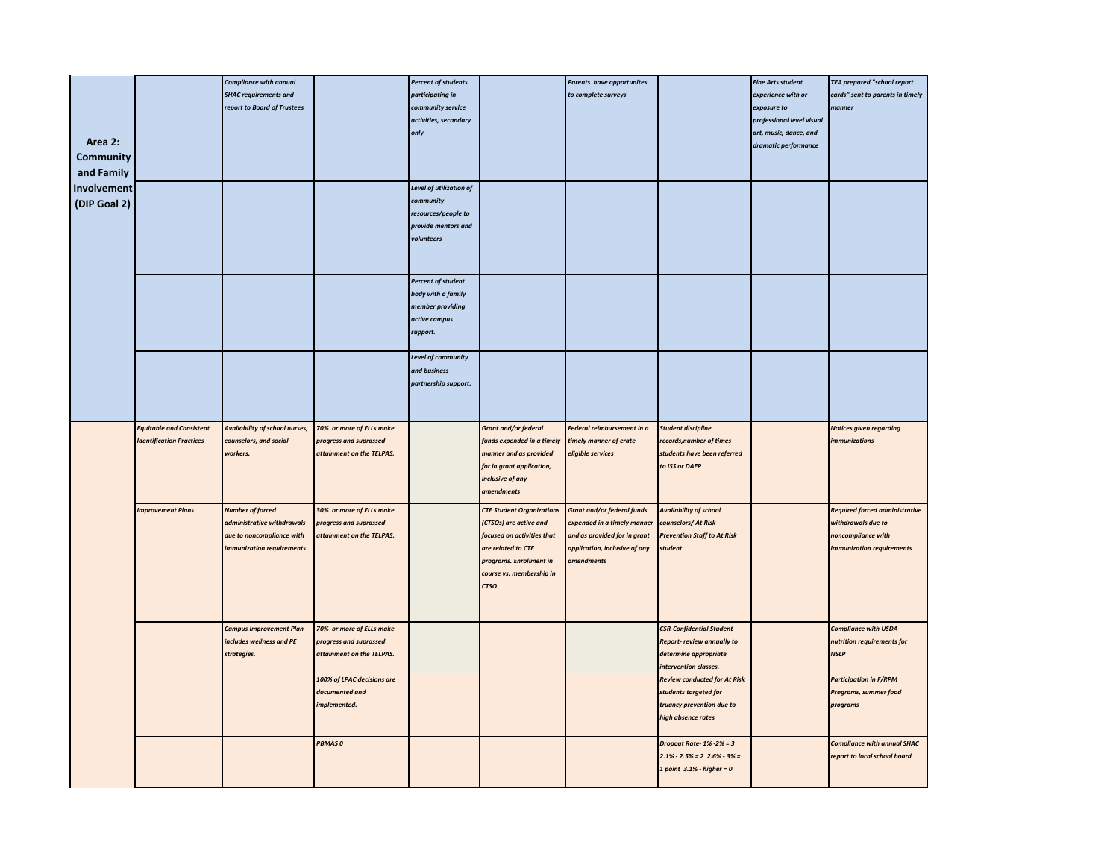|                  |                                 | <b>Compliance with annual</b>  |                            | <b>Percent of students</b>       |                                  | Parents have opportunites         |                                     | <b>Fine Arts student</b>  | <b>TEA prepared "school report</b>    |
|------------------|---------------------------------|--------------------------------|----------------------------|----------------------------------|----------------------------------|-----------------------------------|-------------------------------------|---------------------------|---------------------------------------|
|                  |                                 | <b>SHAC requirements and</b>   |                            | participating in                 |                                  | to complete surveys               |                                     | experience with or        | cards" sent to parents in timely      |
|                  |                                 | report to Board of Trustees    |                            | community service                |                                  |                                   |                                     | exposure to               | manner                                |
|                  |                                 |                                |                            | activities, secondary            |                                  |                                   |                                     | professional level visual |                                       |
|                  |                                 |                                |                            | only                             |                                  |                                   |                                     | art, music, dance, and    |                                       |
| Area 2:          |                                 |                                |                            |                                  |                                  |                                   |                                     | dramatic performance      |                                       |
| <b>Community</b> |                                 |                                |                            |                                  |                                  |                                   |                                     |                           |                                       |
| and Family       |                                 |                                |                            |                                  |                                  |                                   |                                     |                           |                                       |
| Involvement      |                                 |                                |                            | Level of utilization of          |                                  |                                   |                                     |                           |                                       |
|                  |                                 |                                |                            |                                  |                                  |                                   |                                     |                           |                                       |
| (DIP Goal 2)     |                                 |                                |                            | community<br>resources/people to |                                  |                                   |                                     |                           |                                       |
|                  |                                 |                                |                            | provide mentors and              |                                  |                                   |                                     |                           |                                       |
|                  |                                 |                                |                            | volunteers                       |                                  |                                   |                                     |                           |                                       |
|                  |                                 |                                |                            |                                  |                                  |                                   |                                     |                           |                                       |
|                  |                                 |                                |                            |                                  |                                  |                                   |                                     |                           |                                       |
|                  |                                 |                                |                            |                                  |                                  |                                   |                                     |                           |                                       |
|                  |                                 |                                |                            | <b>Percent of student</b>        |                                  |                                   |                                     |                           |                                       |
|                  |                                 |                                |                            | body with a family               |                                  |                                   |                                     |                           |                                       |
|                  |                                 |                                |                            | member providing                 |                                  |                                   |                                     |                           |                                       |
|                  |                                 |                                |                            | active campus                    |                                  |                                   |                                     |                           |                                       |
|                  |                                 |                                |                            | support.                         |                                  |                                   |                                     |                           |                                       |
|                  |                                 |                                |                            |                                  |                                  |                                   |                                     |                           |                                       |
|                  |                                 |                                |                            | Level of community               |                                  |                                   |                                     |                           |                                       |
|                  |                                 |                                |                            | and business                     |                                  |                                   |                                     |                           |                                       |
|                  |                                 |                                |                            | partnership support.             |                                  |                                   |                                     |                           |                                       |
|                  |                                 |                                |                            |                                  |                                  |                                   |                                     |                           |                                       |
|                  |                                 |                                |                            |                                  |                                  |                                   |                                     |                           |                                       |
|                  | <b>Equitable and Consistent</b> | Availability of school nurses, | 70% or more of ELLs make   |                                  | <b>Grant and/or federal</b>      | Federal reimbursement in a        | <b>Student discipline</b>           |                           | <b>Notices given regarding</b>        |
|                  | <b>Identification Practices</b> | counselors, and social         | progress and suprassed     |                                  | funds expended in a timely       | timely manner of erate            | records, number of times            |                           | <i>immunizations</i>                  |
|                  |                                 | vorkers.                       | attainment on the TELPAS.  |                                  | manner and as provided           | eligible services                 | students have been referred         |                           |                                       |
|                  |                                 |                                |                            |                                  | for in grant application,        |                                   | to ISS or DAEP                      |                           |                                       |
|                  |                                 |                                |                            |                                  | inclusive of any                 |                                   |                                     |                           |                                       |
|                  |                                 |                                |                            |                                  | amendments                       |                                   |                                     |                           |                                       |
|                  | <b>Improvement Plans</b>        | <b>Number of forced</b>        | 30% or more of ELLs make   |                                  | <b>CTE Student Organizations</b> | <b>Grant and/or federal funds</b> | <b>Availability of school</b>       |                           | <b>Required forced administrative</b> |
|                  |                                 | administrative withdrawals     | progress and suprassed     |                                  | (CTSOs) are active and           | expended in a timely manner       | counselors/ At Risk                 |                           | withdrawals due to                    |
|                  |                                 | due to noncompliance with      | attainment on the TELPAS.  |                                  | focused on activities that       | and as provided for in grant      | <b>Prevention Staff to At Risk</b>  |                           | noncompliance with                    |
|                  |                                 | mmunization requirements       |                            |                                  | are related to CTE               | application, inclusive of any     | student                             |                           | immunization requirements             |
|                  |                                 |                                |                            |                                  | programs. Enrollment in          | amendments                        |                                     |                           |                                       |
|                  |                                 |                                |                            |                                  | course vs. membership in         |                                   |                                     |                           |                                       |
|                  |                                 |                                |                            |                                  | CTSO.                            |                                   |                                     |                           |                                       |
|                  |                                 |                                |                            |                                  |                                  |                                   |                                     |                           |                                       |
|                  |                                 |                                |                            |                                  |                                  |                                   |                                     |                           |                                       |
|                  |                                 |                                |                            |                                  |                                  |                                   |                                     |                           |                                       |
|                  |                                 | <b>Campus Improvement Plan</b> | 70% or more of ELLs make   |                                  |                                  |                                   | <b>CSR-Confidential Student</b>     |                           | <b>Compliance with USDA</b>           |
|                  |                                 | includes wellness and PE       | progress and suprassed     |                                  |                                  |                                   | Report- review annually to          |                           | nutrition requirements for            |
|                  |                                 | strategies.                    | attainment on the TELPAS.  |                                  |                                  |                                   | determine appropriate               |                           | <b>NSLP</b>                           |
|                  |                                 |                                |                            |                                  |                                  |                                   | intervention classes.               |                           |                                       |
|                  |                                 |                                | 100% of LPAC decisions are |                                  |                                  |                                   | <b>Review conducted for At Risk</b> |                           | <b>Participation in F/RPM</b>         |
|                  |                                 |                                | documented and             |                                  |                                  |                                   | students targeted for               |                           | Programs, summer food                 |
|                  |                                 |                                | implemented.               |                                  |                                  |                                   | truancy prevention due to           |                           | programs                              |
|                  |                                 |                                |                            |                                  |                                  |                                   | high absence rates                  |                           |                                       |
|                  |                                 |                                | PBMAS0                     |                                  |                                  |                                   | Dropout Rate- $1\% -2\% = 3$        |                           | <b>Compliance with annual SHAC</b>    |
|                  |                                 |                                |                            |                                  |                                  |                                   | $2.1\% - 2.5\% = 22.6\% - 3\% =$    |                           | report to local school board          |
|                  |                                 |                                |                            |                                  |                                  |                                   |                                     |                           |                                       |
|                  |                                 |                                |                            |                                  |                                  |                                   | 1 point $3.1\%$ - higher = 0        |                           |                                       |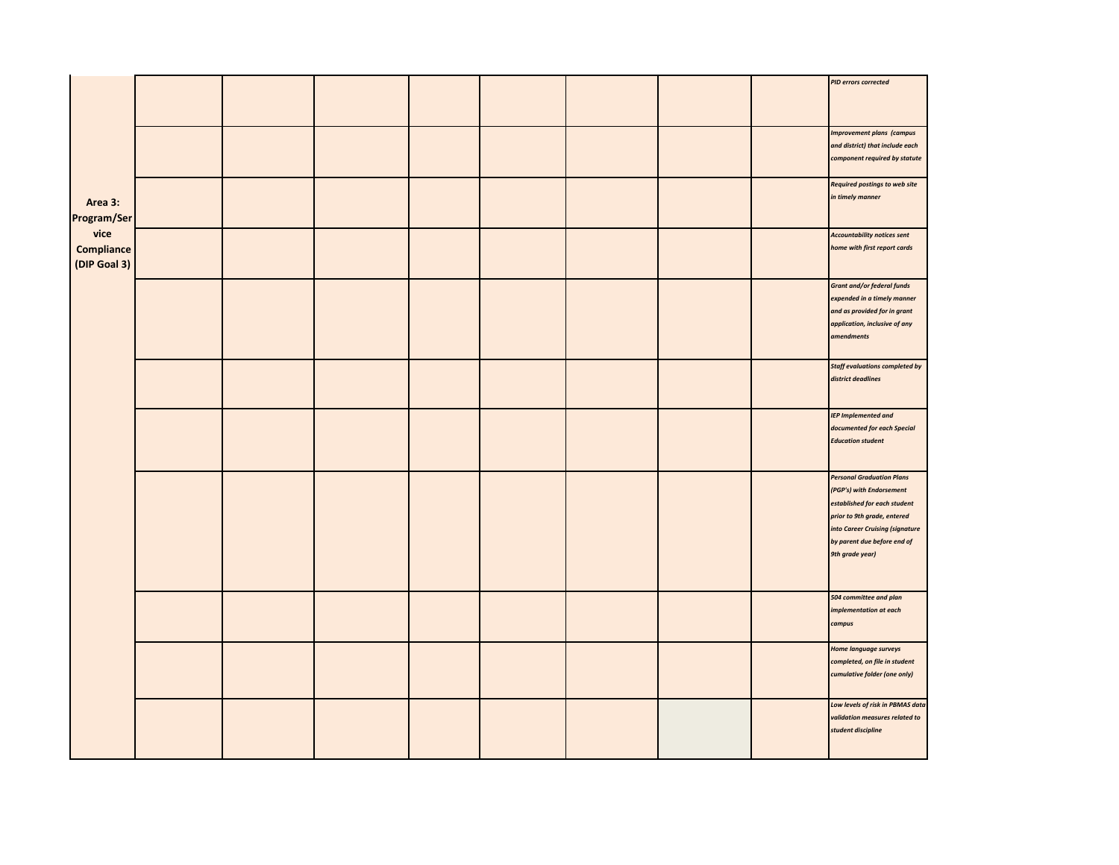|                                    |  |  |  |  | <b>PID errors corrected</b>                                                                                                                                                                                      |
|------------------------------------|--|--|--|--|------------------------------------------------------------------------------------------------------------------------------------------------------------------------------------------------------------------|
|                                    |  |  |  |  | <b>Improvement plans (campus</b><br>and district) that include each<br>component required by statute                                                                                                             |
| Area 3:<br>Program/Ser             |  |  |  |  | <b>Required postings to web site</b><br>in timely manner                                                                                                                                                         |
| vice<br>Compliance<br>(DIP Goal 3) |  |  |  |  | <b>Accountability notices sent</b><br>home with first report cards                                                                                                                                               |
|                                    |  |  |  |  | Grant and/or federal funds<br>expended in a timely manner<br>and as provided for in grant<br>application, inclusive of any<br>amendments                                                                         |
|                                    |  |  |  |  | <b>Staff evaluations completed by</b><br>district deadlines                                                                                                                                                      |
|                                    |  |  |  |  | <b>IEP Implemented and</b><br>documented for each Special<br><b>Education student</b>                                                                                                                            |
|                                    |  |  |  |  | <b>Personal Graduation Plans</b><br>(PGP's) with Endorsement<br>established for each student<br>prior to 9th grade, entered<br>into Career Cruising (signature<br>by parent due before end of<br>9th grade year) |
|                                    |  |  |  |  | 504 committee and plan<br>implementation at each<br>campus                                                                                                                                                       |
|                                    |  |  |  |  | <b>Home language surveys</b><br>completed, on file in student<br>cumulative folder (one only)                                                                                                                    |
|                                    |  |  |  |  | Low levels of risk in PBMAS data<br>validation measures related to<br>student discipline                                                                                                                         |